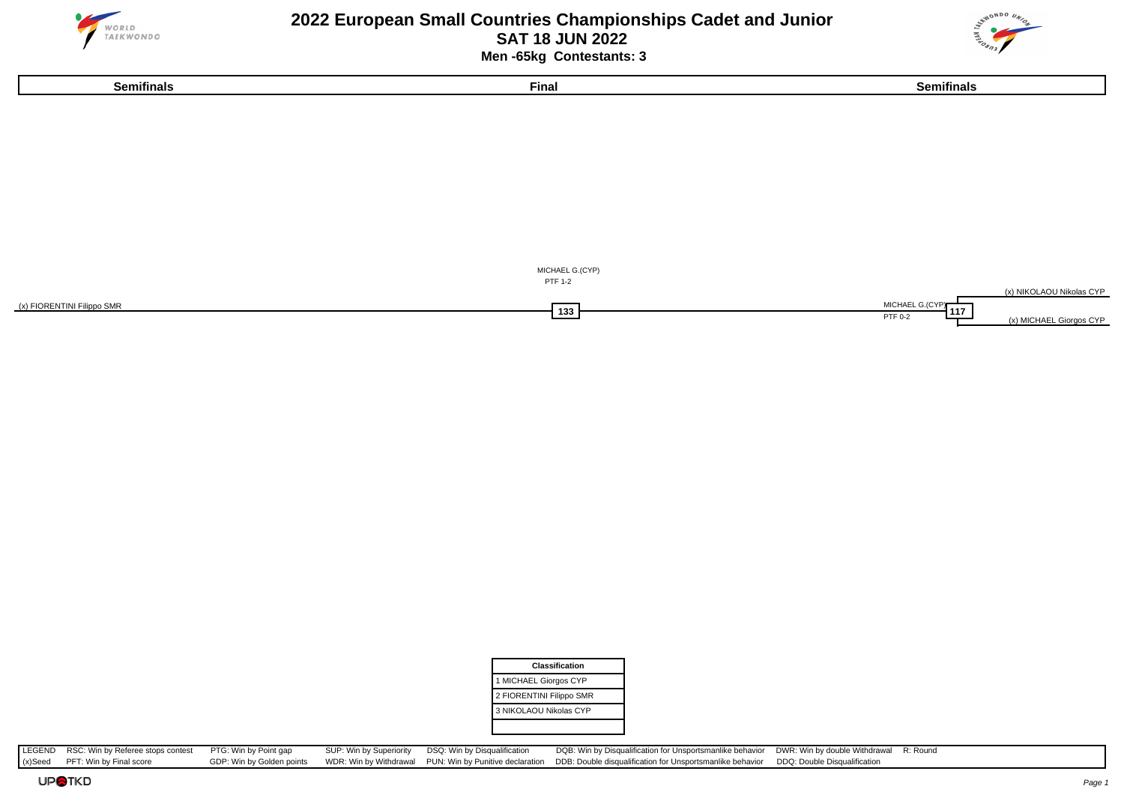





| Classification           |
|--------------------------|
| 1 MICHAEL Giorgos CYP    |
| 2 FIORENTINI Filippo SMR |
| 3 NIKOLAOU Nikolas CYP   |
|                          |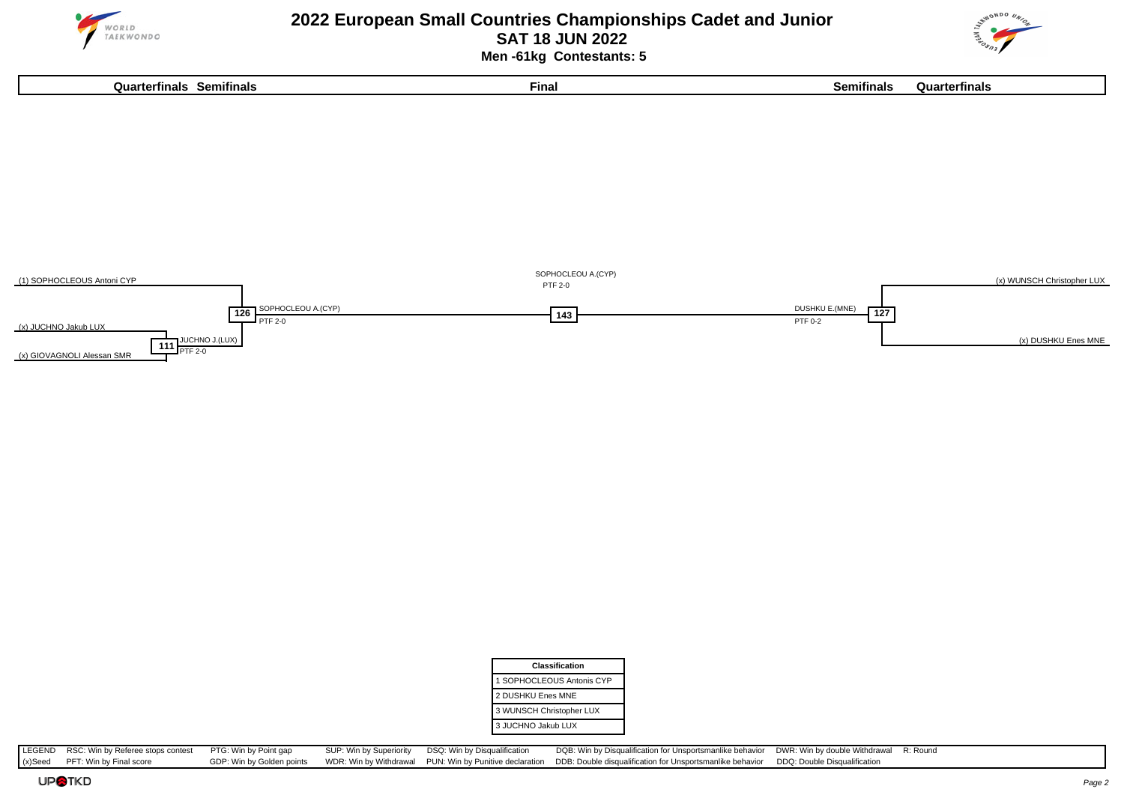

#### **2022 European Small Countries Championships Cadet and Junior SAT 18 JUN 2022 Men -61kg Contestants: 5**





| <b>Classification</b>     |
|---------------------------|
| 1 SOPHOCLEOUS Antonis CYP |
| 2 DUSHKU Enes MNE         |
| 3 WUNSCH Christopher LUX  |
| 3 JUCHNO Jakub LUX        |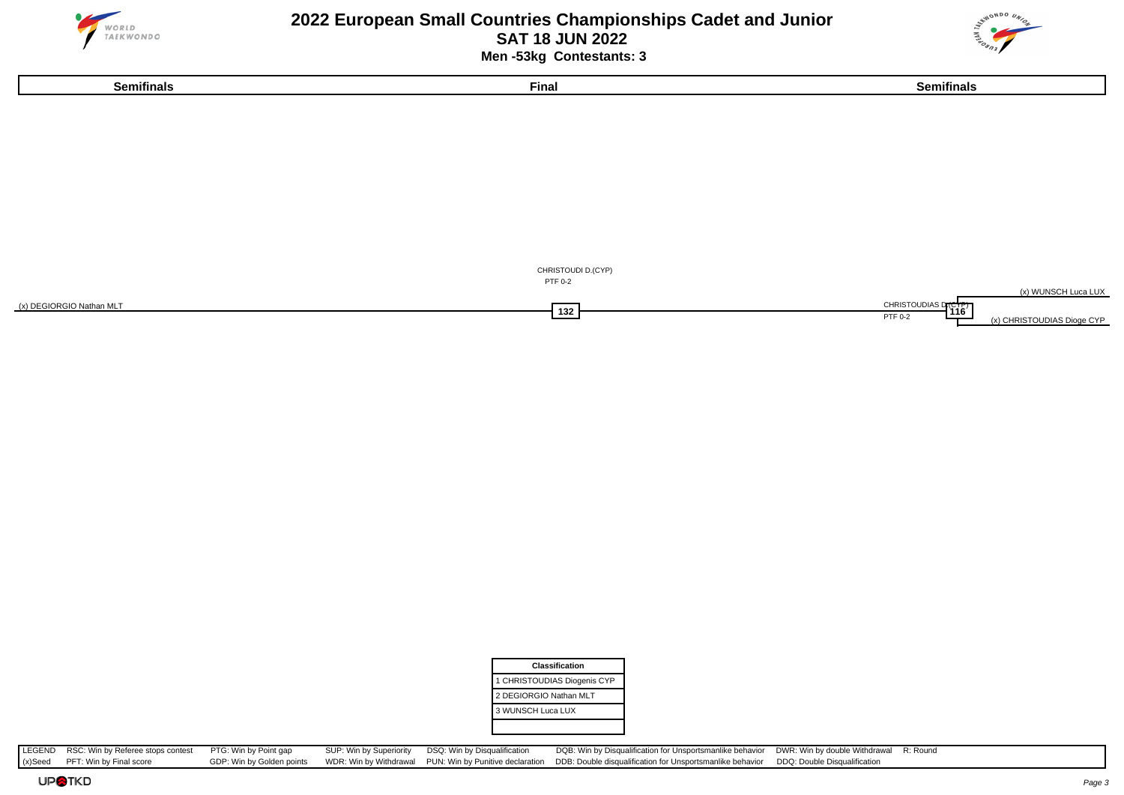





| <b>Classification</b>       |
|-----------------------------|
| 1 CHRISTOUDIAS Diogenis CYP |
| 2 DEGIORGIO Nathan MLT      |
| 3 WUNSCH Luca LUX           |
|                             |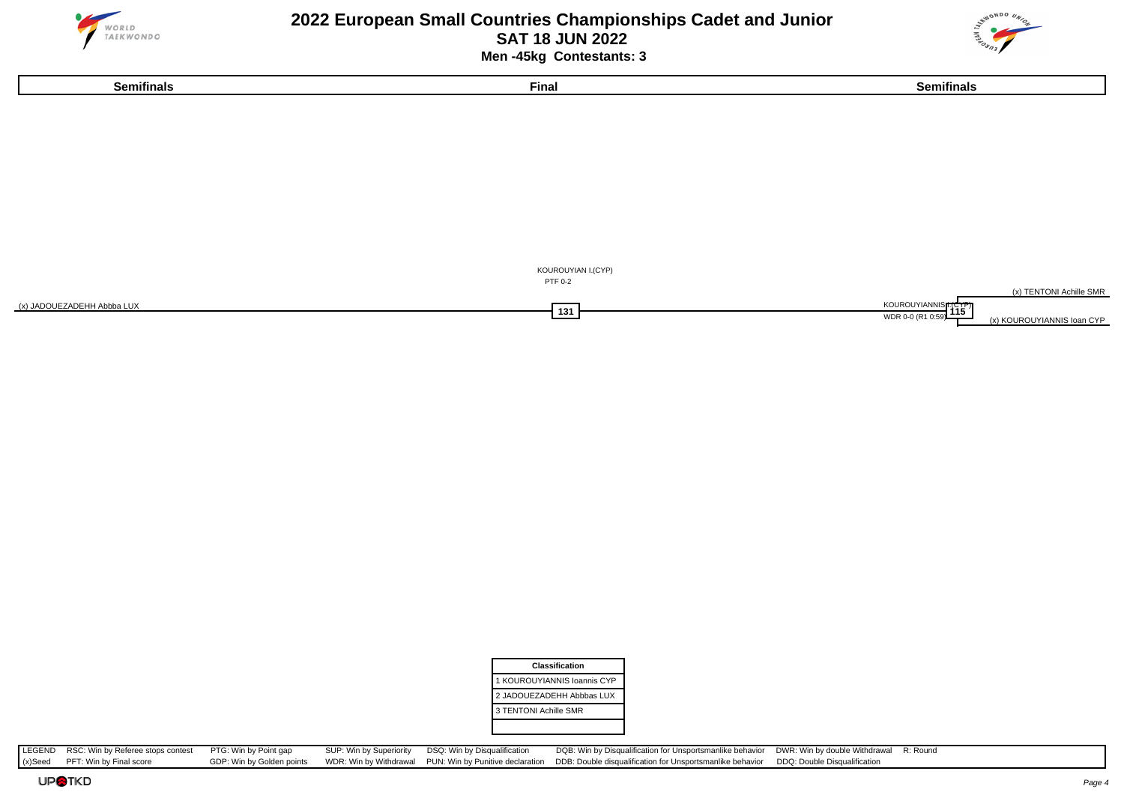

 **Men -45kg Contestants: 3**





| <b>Classification</b>       |
|-----------------------------|
| 1 KOUROUYIANNIS Ioannis CYP |
| 2 JADOUEZADEHH Abbbas LUX   |
| 3 TENTONI Achille SMR       |
|                             |

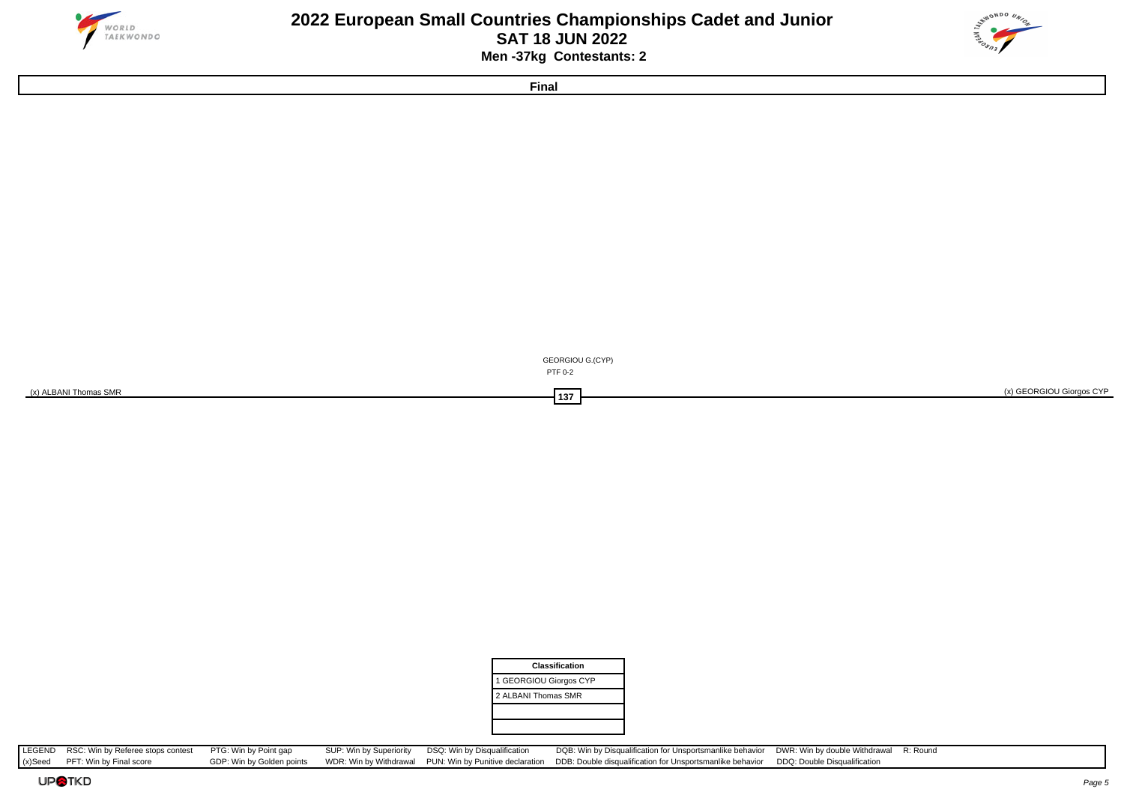

#### **2022 European Small Countries Championships Cadet and Junior SAT 18 JUN 2022 Men -37kg Contestants: 2**



**Final**



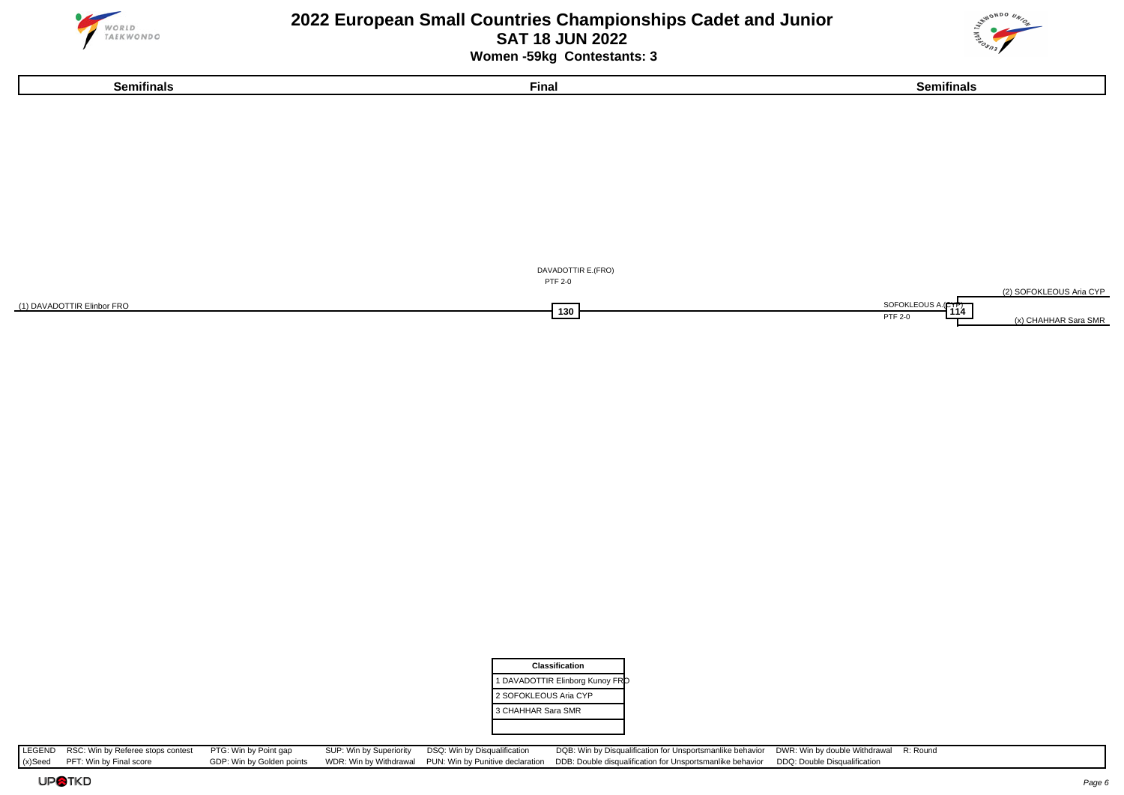

### **2022 European Small Countries Championships Cadet and Junior SAT 18 JUN 2022 Women -59kg Contestants: 3**



**Semifinals Final Semifinals**



| Classification                 |
|--------------------------------|
| 1 DAVADOTTIR Elinborg Kunoy FR |
| 2 SOFOKLEOUS Aria CYP          |
| 3 CHAHHAR Sara SMR             |
|                                |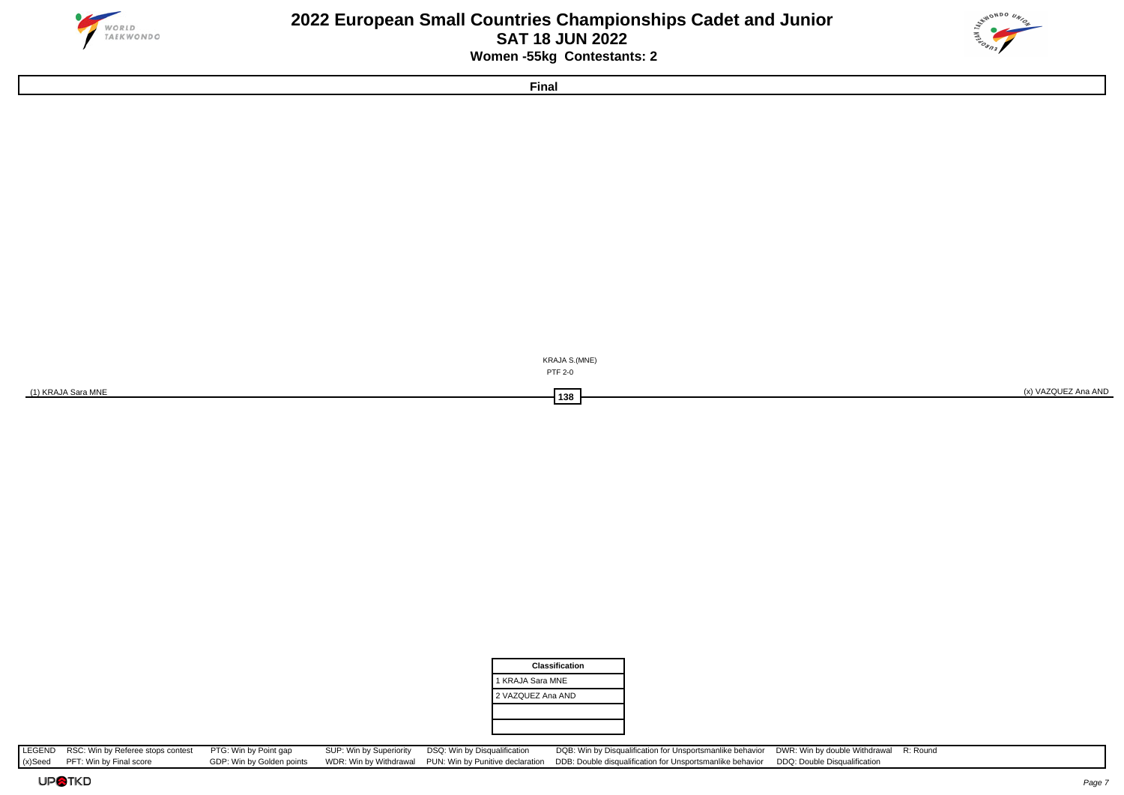

### **2022 European Small Countries Championships Cadet and Junior SAT 18 JUN 2022 Women -55kg Contestants: 2**



**Final**



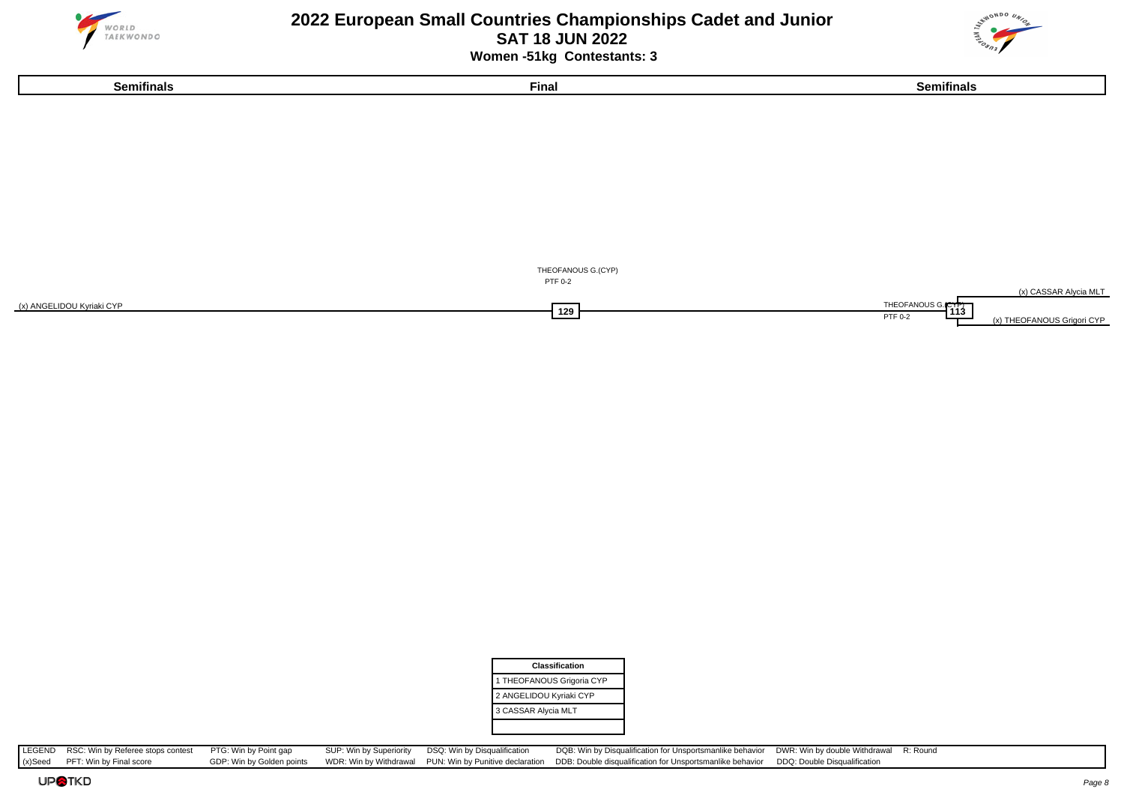





| <b>Classification</b>     |
|---------------------------|
| 1 THEOFANOUS Grigoria CYP |
| 2 ANGELIDOU Kyriaki CYP   |
| 3 CASSAR Alycia MLT       |
|                           |

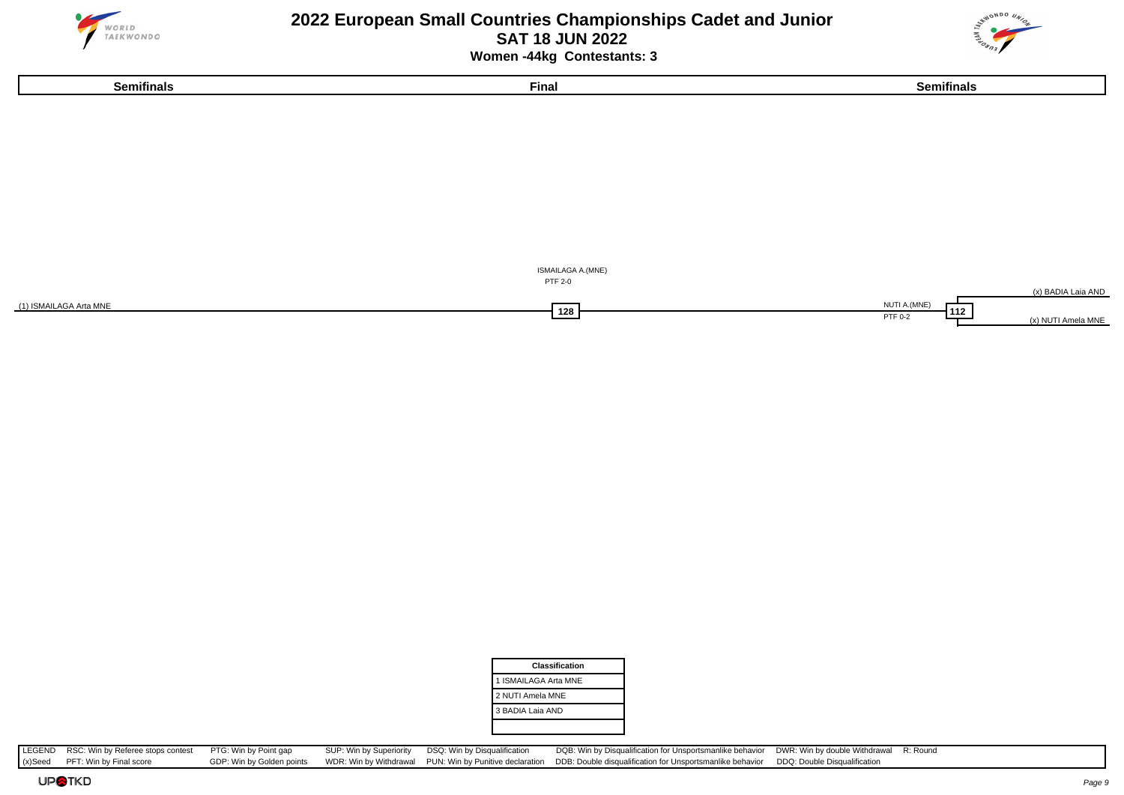





| <b>Classification</b> |  |
|-----------------------|--|
| 1 ISMAILAGA Arta MNE  |  |
| 2 NUTI Amela MNE      |  |
| 3 BADIA Laia AND      |  |
|                       |  |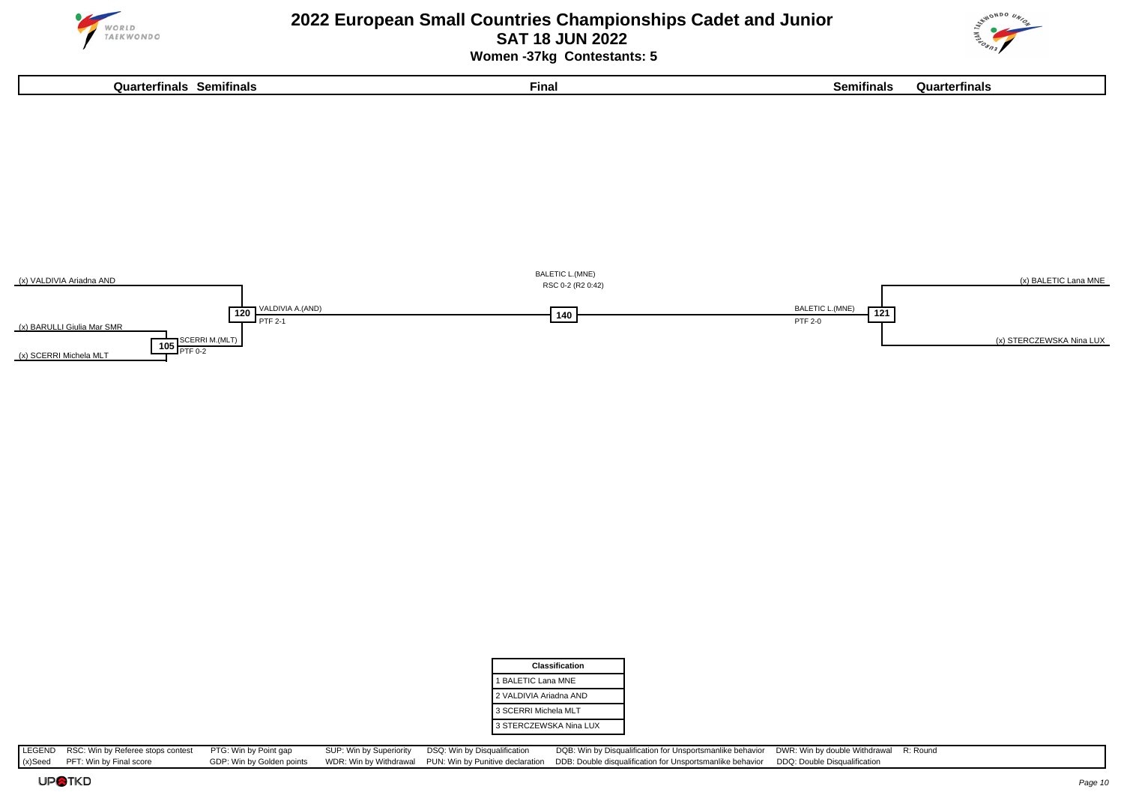



**Quarterfinals Semifinals Final Semifinals Quarterfinals**





| Classification         |
|------------------------|
| 1 BALETIC Lana MNE     |
| 2 VALDIVIA Ariadna AND |
| 3 SCERRI Michela MLT   |
| 3 STERCZEWSKA Nina LUX |

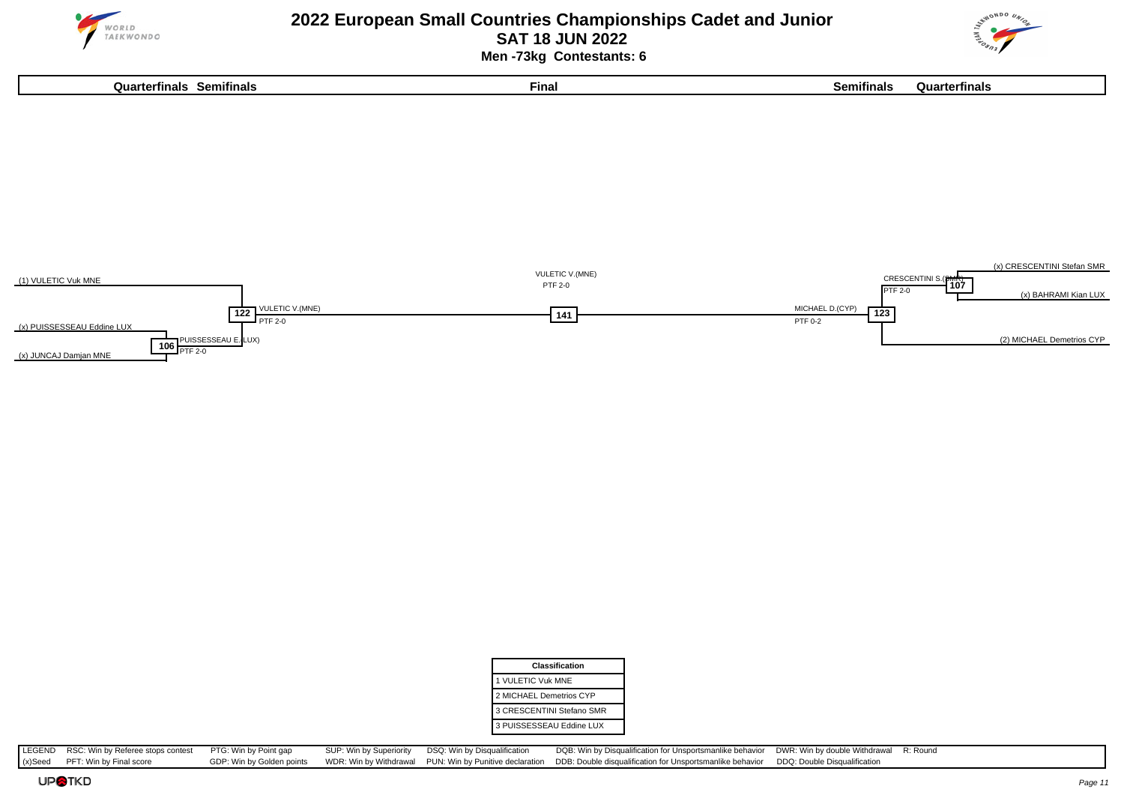

### **2022 European Small Countries Championships Cadet and Junior SAT 18 JUN 2022 Men -73kg Contestants: 6**





| <b>Classification</b>     |  |
|---------------------------|--|
| 1 VULETIC Vuk MNE         |  |
| 2 MICHAEL Demetrios CYP   |  |
| 3 CRESCENTINI Stefano SMR |  |
| 3 PUISSESSEAU Eddine LUX  |  |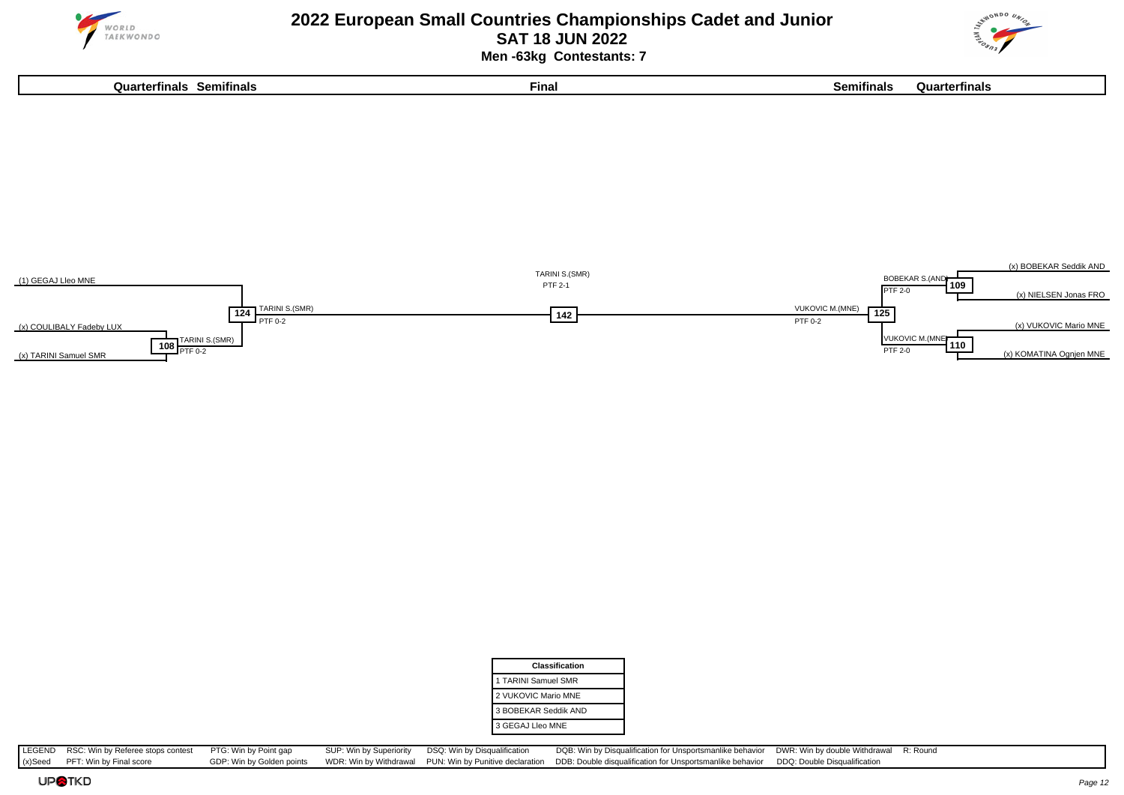

 **Men -63kg Contestants: 7**





| Classification       |  |
|----------------------|--|
| 1 TARINI Samuel SMR  |  |
| 2 VUKOVIC Mario MNE  |  |
| 3 BOBEKAR Seddik AND |  |
| 3 GEGAJ Lleo MNE     |  |
|                      |  |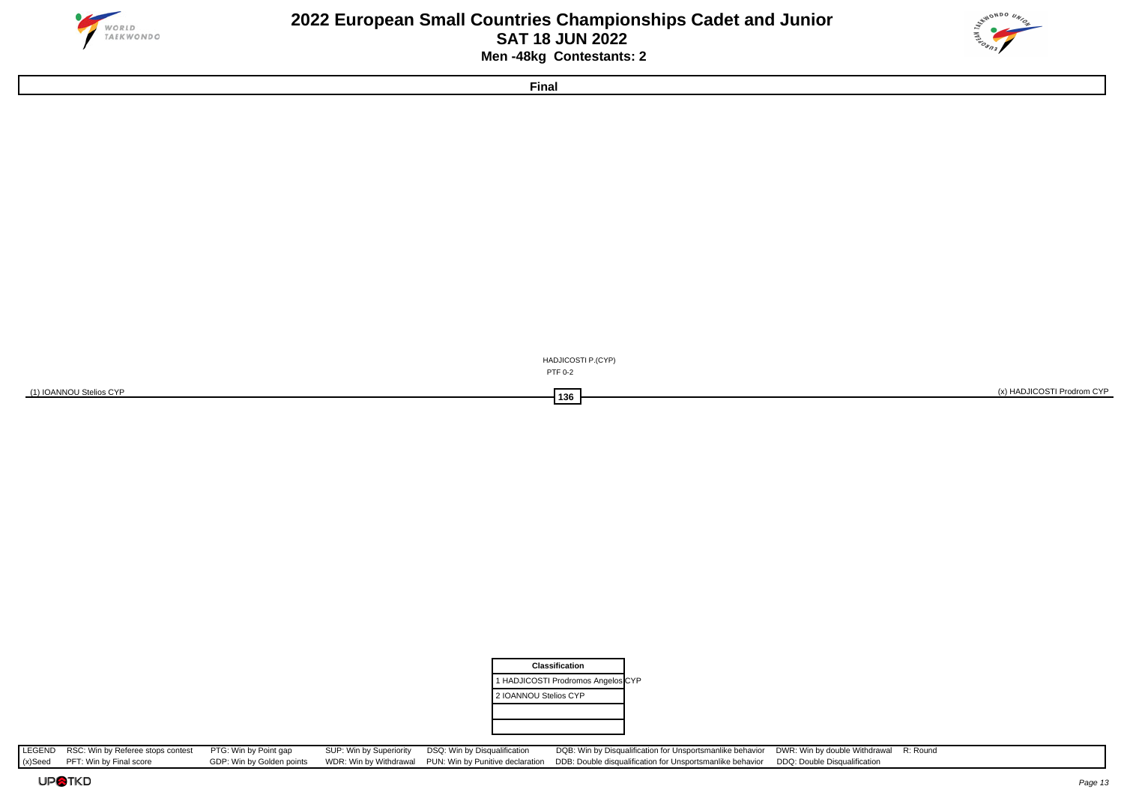

#### **2022 European Small Countries Championships Cadet and Junior SAT 18 JUN 2022 Men -48kg Contestants: 2**



**Final**

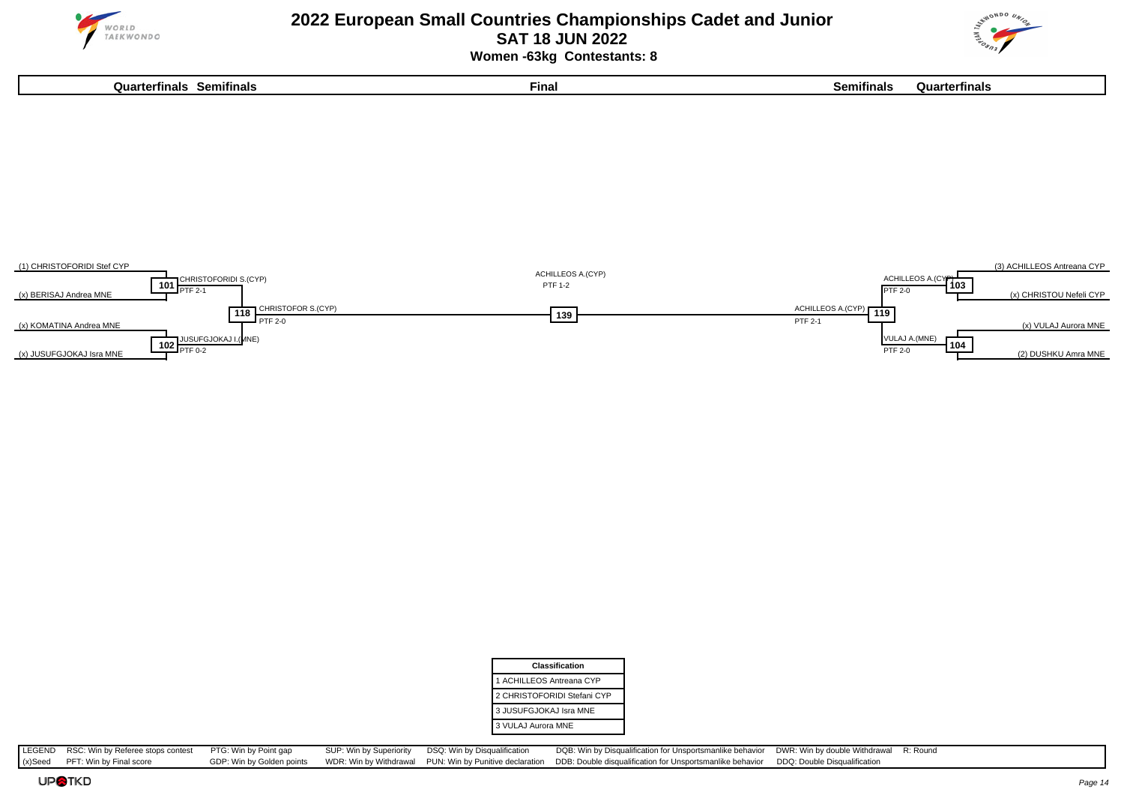

 **Women -63kg Contestants: 8**

**Quarterfinals Semifinals Final Semifinals Quarterfinals**





| Classification              |
|-----------------------------|
| 1 ACHILLEOS Antreana CYP    |
| 2 CHRISTOFORIDI Stefani CYP |
| 3 JUSUFGJOKAJ Isra MNE      |
| 3 VULAJ Aurora MNE          |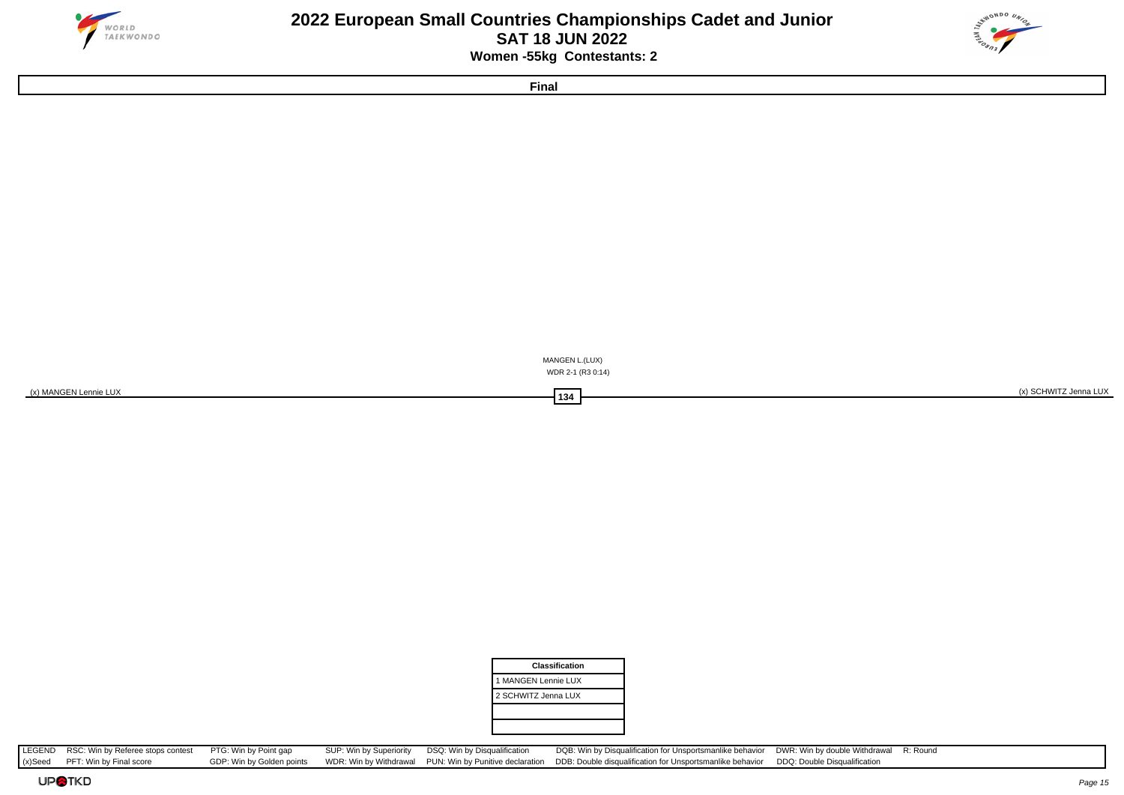

### **2022 European Small Countries Championships Cadet and Junior SAT 18 JUN 2022 Women -55kg Contestants: 2**



**Final**